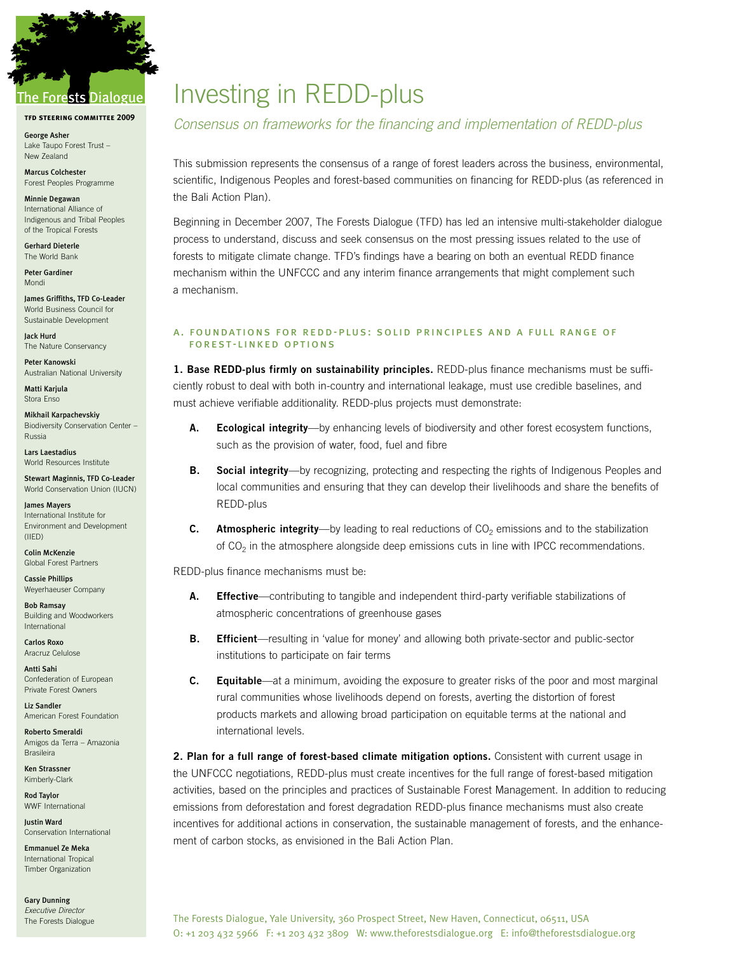

## The Forests Dialogue

**tfd steering committee 2009**

George Asher Lake Taupo Forest Trust – New Zealand

Marcus Colchester Forest Peoples Programme

Minnie Degawan International Alliance of Indigenous and Tribal Peoples of the Tropical Forests

Gerhard Dieterle The World Bank

Peter Gardiner Mondi

James Griffiths, TFD Co-Leader World Business Council for Sustainable Development

Jack Hurd The Nature Conservancy

Peter Kanowski Australian National University

Matti Karjula Stora Enso

Mikhail Karpachevskiy Biodiversity Conservation Center – Russia

Lars Laestadius World Resources Institute

Stewart Maginnis, TFD Co-Leader World Conservation Union (IUCN)

James Mayers International Institute for Environment and Development (IIED)

Colin McKenzie Global Forest Partners

Cassie Phillips Weyerhaeuser Company

Bob Ramsay Building and Woodworkers International

Carlos Roxo Aracruz Celulose

Antti Sahi Confederation of European Private Forest Owners

Liz Sandler American Forest Foundation

Roberto Smeraldi Amigos da Terra – Amazonia Brasileira

Ken Strassner Kimberly-Clark

Rod Taylor WWF International

Justin Ward Conservation International

Emmanuel Ze Meka International Tropical Timber Organization

Gary Dunning *Executive Director* The Forests Dialogue

# Investing in REDD-plus

### *Consensus on frameworks for the financing and implementation of REDD-plus*

This submission represents the consensus of a range of forest leaders across the business, environmental, scientific, Indigenous Peoples and forest-based communities on financing for REDD-plus (as referenced in the Bali Action Plan).

Beginning in December 2007, The Forests Dialogue (TFD) has led an intensive multi-stakeholder dialogue process to understand, discuss and seek consensus on the most pressing issues related to the use of forests to mitigate climate change. TFD's findings have a bearing on both an eventual REDD finance mechanism within the UNFCCC and any interim finance arrangements that might complement such a mechanism.

#### A. FOUNDATIONS FOR REDD-PLUS: SOLID PRINCIPLES AND A FULL RANGE OF FOREST-LINKED OPTIONS

**1. Base REDD-plus firmly on sustainability principles.** REDD-plus finance mechanisms must be sufficiently robust to deal with both in-country and international leakage, must use credible baselines, and must achieve verifiable additionality. REDD-plus projects must demonstrate:

- **A. Ecological integrity**—by enhancing levels of biodiversity and other forest ecosystem functions, such as the provision of water, food, fuel and fibre
- **B. Social integrity**—by recognizing, protecting and respecting the rights of Indigenous Peoples and local communities and ensuring that they can develop their livelihoods and share the benefits of REDD-plus
- **C. Atmospheric integrity**—by leading to real reductions of CO<sub>2</sub> emissions and to the stabilization of  $CO<sub>2</sub>$  in the atmosphere alongside deep emissions cuts in line with IPCC recommendations.

REDD-plus finance mechanisms must be:

- **A. Effective**—contributing to tangible and independent third-party verifiable stabilizations of atmospheric concentrations of greenhouse gases
- **B. Efficient**—resulting in 'value for money' and allowing both private-sector and public-sector institutions to participate on fair terms
- **C. Equitable**—at a minimum, avoiding the exposure to greater risks of the poor and most marginal rural communities whose livelihoods depend on forests, averting the distortion of forest products markets and allowing broad participation on equitable terms at the national and international levels.

**2. Plan for a full range of forest-based climate mitigation options.** Consistent with current usage in the UNFCCC negotiations, REDD-plus must create incentives for the full range of forest-based mitigation activities, based on the principles and practices of Sustainable Forest Management. In addition to reducing emissions from deforestation and forest degradation REDD-plus finance mechanisms must also create incentives for additional actions in conservation, the sustainable management of forests, and the enhancement of carbon stocks, as envisioned in the Bali Action Plan.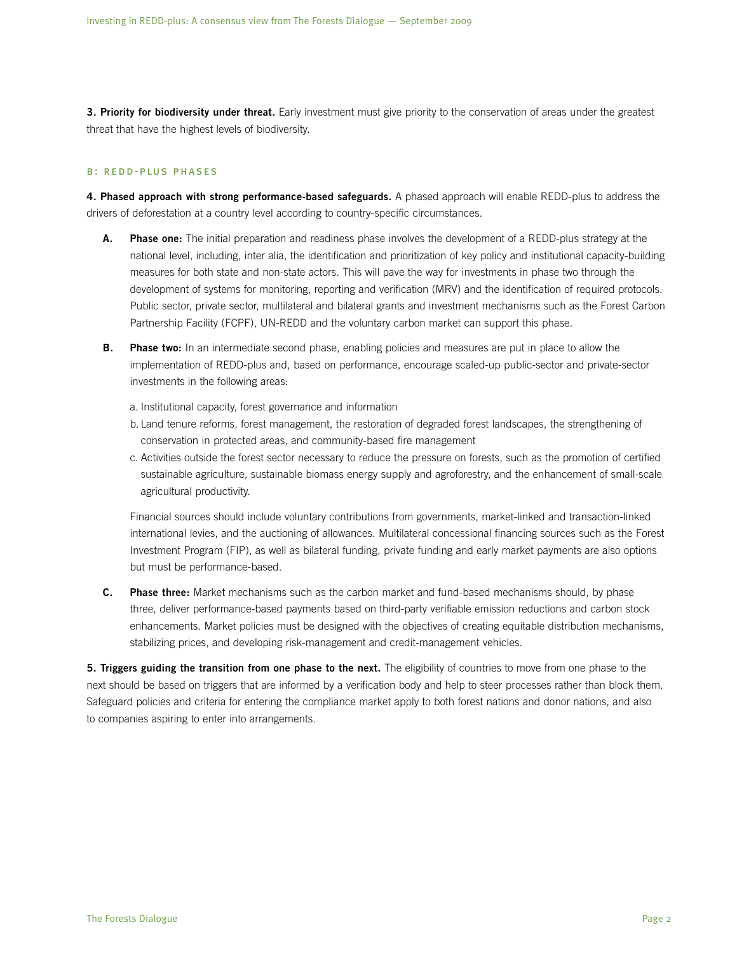**3. Priority for biodiversity under threat.** Early investment must give priority to the conservation of areas under the greatest threat that have the highest levels of biodiversity.

#### b: redd-plus phases

**4. Phased approach with strong performance-based safeguards.** A phased approach will enable REDD-plus to address the drivers of deforestation at a country level according to country-specific circumstances.

- **A. Phase one:** The initial preparation and readiness phase involves the development of a REDD-plus strategy at the national level, including, inter alia, the identification and prioritization of key policy and institutional capacity-building measures for both state and non-state actors. This will pave the way for investments in phase two through the development of systems for monitoring, reporting and verification (MRV) and the identification of required protocols. Public sector, private sector, multilateral and bilateral grants and investment mechanisms such as the Forest Carbon Partnership Facility (FCPF), UN-REDD and the voluntary carbon market can support this phase.
- **B. Phase two:** In an intermediate second phase, enabling policies and measures are put in place to allow the implementation of REDD-plus and, based on performance, encourage scaled-up public-sector and private-sector investments in the following areas:
	- a. Institutional capacity, forest governance and information
	- b. Land tenure reforms, forest management, the restoration of degraded forest landscapes, the strengthening of conservation in protected areas, and community-based fire management
	- c. Activities outside the forest sector necessary to reduce the pressure on forests, such as the promotion of certified sustainable agriculture, sustainable biomass energy supply and agroforestry, and the enhancement of small-scale agricultural productivity.

Financial sources should include voluntary contributions from governments, market-linked and transaction-linked international levies, and the auctioning of allowances. Multilateral concessional financing sources such as the Forest Investment Program (FIP), as well as bilateral funding, private funding and early market payments are also options but must be performance-based.

**C. Phase three:** Market mechanisms such as the carbon market and fund-based mechanisms should, by phase three, deliver performance-based payments based on third-party verifiable emission reductions and carbon stock enhancements. Market policies must be designed with the objectives of creating equitable distribution mechanisms, stabilizing prices, and developing risk-management and credit-management vehicles.

**5. Triggers guiding the transition from one phase to the next.** The eligibility of countries to move from one phase to the next should be based on triggers that are informed by a verification body and help to steer processes rather than block them. Safeguard policies and criteria for entering the compliance market apply to both forest nations and donor nations, and also to companies aspiring to enter into arrangements.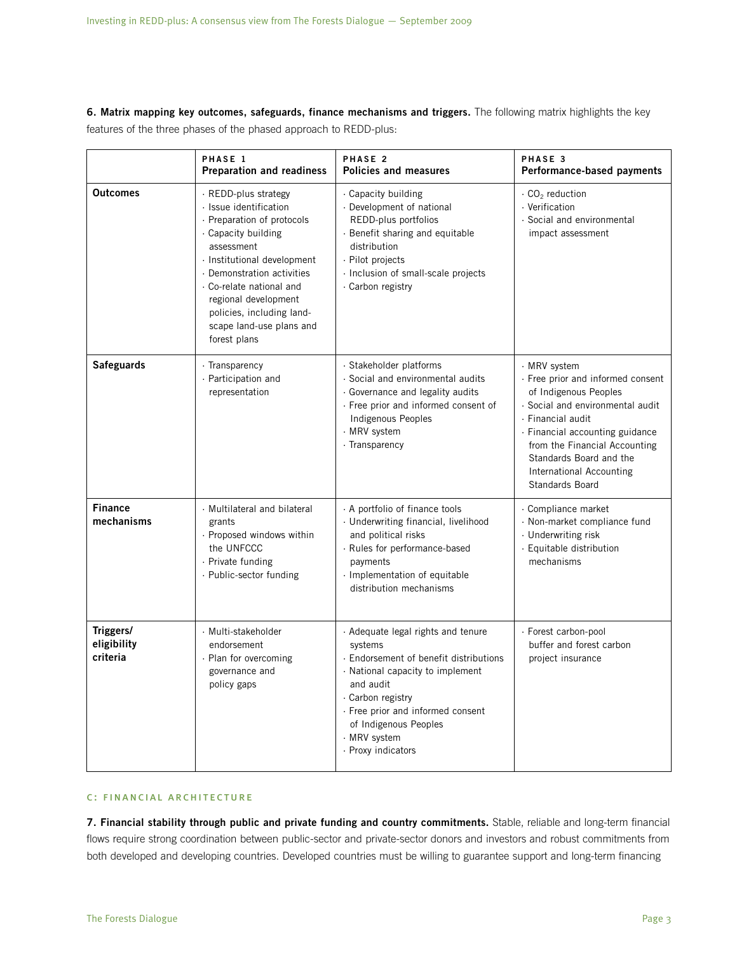**6. Matrix mapping key outcomes, safeguards, finance mechanisms and triggers.** The following matrix highlights the key features of the three phases of the phased approach to REDD-plus:

|                                      | PHASE 1<br><b>Preparation and readiness</b>                                                                                                                                                                                                                                                                 | PHASE 2<br><b>Policies and measures</b>                                                                                                                                                                                                                           | PHASE 3<br>Performance-based payments                                                                                                                                                                                                                                             |
|--------------------------------------|-------------------------------------------------------------------------------------------------------------------------------------------------------------------------------------------------------------------------------------------------------------------------------------------------------------|-------------------------------------------------------------------------------------------------------------------------------------------------------------------------------------------------------------------------------------------------------------------|-----------------------------------------------------------------------------------------------------------------------------------------------------------------------------------------------------------------------------------------------------------------------------------|
| <b>Outcomes</b>                      | · REDD-plus strategy<br>· Issue identification<br>· Preparation of protocols<br>. Capacity building<br>assessment<br>· Institutional development<br>· Demonstration activities<br>. Co-relate national and<br>regional development<br>policies, including land-<br>scape land-use plans and<br>forest plans | · Capacity building<br>· Development of national<br>REDD-plus portfolios<br>· Benefit sharing and equitable<br>distribution<br>· Pilot projects<br>· Inclusion of small-scale projects<br>· Carbon registry                                                       | $\cdot$ CO <sub>2</sub> reduction<br>· Verification<br>· Social and environmental<br>impact assessment                                                                                                                                                                            |
| <b>Safeguards</b>                    | · Transparency<br>· Participation and<br>representation                                                                                                                                                                                                                                                     | · Stakeholder platforms<br>· Social and environmental audits<br>· Governance and legality audits<br>· Free prior and informed consent of<br>Indigenous Peoples<br>$\cdot$ MRV system<br>· Transparency                                                            | · MRV system<br>· Free prior and informed consent<br>of Indigenous Peoples<br>· Social and environmental audit<br>· Financial audit<br>· Financial accounting guidance<br>from the Financial Accounting<br>Standards Board and the<br>International Accounting<br>Standards Board |
| <b>Finance</b><br>mechanisms         | · Multilateral and bilateral<br>grants<br>· Proposed windows within<br>the UNFCCC<br>· Private funding<br>· Public-sector funding                                                                                                                                                                           | A portfolio of finance tools<br>· Underwriting financial, livelihood<br>and political risks<br>· Rules for performance-based<br>payments<br>· Implementation of equitable<br>distribution mechanisms                                                              | · Compliance market<br>· Non-market compliance fund<br>· Underwriting risk<br>· Equitable distribution<br>mechanisms                                                                                                                                                              |
| Triggers/<br>eligibility<br>criteria | · Multi-stakeholder<br>endorsement<br>· Plan for overcoming<br>governance and<br>policy gaps                                                                                                                                                                                                                | · Adequate legal rights and tenure<br>systems<br>· Endorsement of benefit distributions<br>· National capacity to implement<br>and audit<br>· Carbon registry<br>· Free prior and informed consent<br>of Indigenous Peoples<br>· MRV system<br>· Proxy indicators | · Forest carbon-pool<br>buffer and forest carbon<br>project insurance                                                                                                                                                                                                             |

#### c: financial architecture

**7. Financial stability through public and private funding and country commitments.** Stable, reliable and long-term financial flows require strong coordination between public-sector and private-sector donors and investors and robust commitments from both developed and developing countries. Developed countries must be willing to guarantee support and long-term financing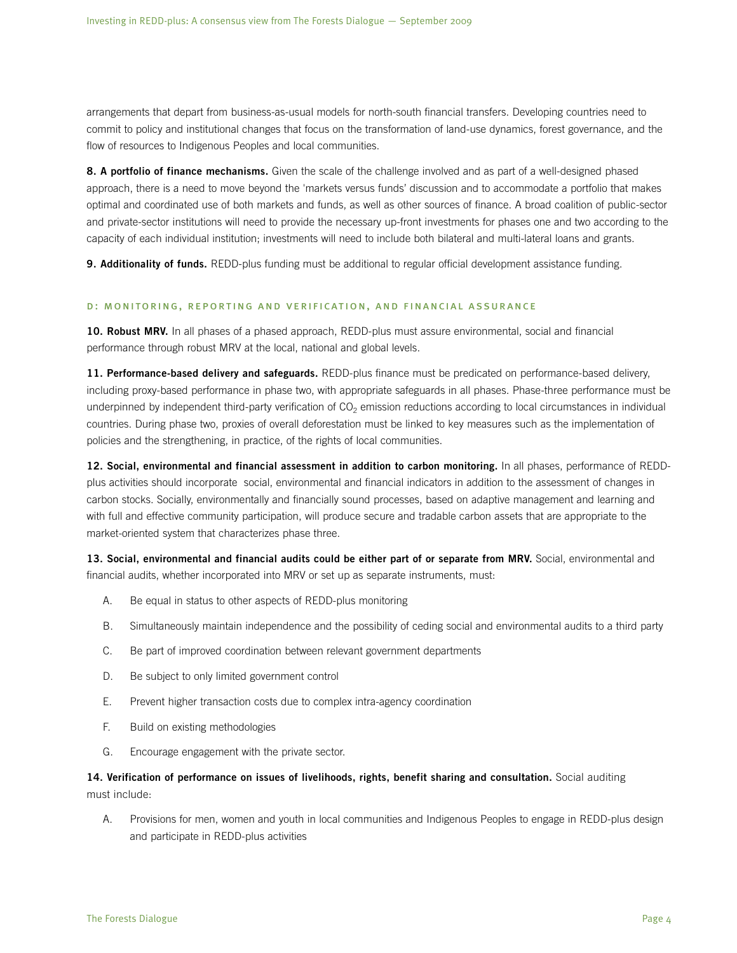arrangements that depart from business-as-usual models for north-south financial transfers. Developing countries need to commit to policy and institutional changes that focus on the transformation of land-use dynamics, forest governance, and the flow of resources to Indigenous Peoples and local communities.

**8. A portfolio of finance mechanisms.** Given the scale of the challenge involved and as part of a well-designed phased approach, there is a need to move beyond the 'markets versus funds' discussion and to accommodate a portfolio that makes optimal and coordinated use of both markets and funds, as well as other sources of finance. A broad coalition of public-sector and private-sector institutions will need to provide the necessary up-front investments for phases one and two according to the capacity of each individual institution; investments will need to include both bilateral and multi-lateral loans and grants.

**9. Additionality of funds.** REDD-plus funding must be additional to regular official development assistance funding.

#### d: monitoring, reporting and verification, and financial assurance

**10. Robust MRV.** In all phases of a phased approach, REDD-plus must assure environmental, social and financial performance through robust MRV at the local, national and global levels.

**11. Performance-based delivery and safeguards.** REDD-plus finance must be predicated on performance-based delivery, including proxy-based performance in phase two, with appropriate safeguards in all phases. Phase-three performance must be underpinned by independent third-party verification of  $CO<sub>2</sub>$  emission reductions according to local circumstances in individual countries. During phase two, proxies of overall deforestation must be linked to key measures such as the implementation of policies and the strengthening, in practice, of the rights of local communities.

**12. Social, environmental and financial assessment in addition to carbon monitoring.** In all phases, performance of REDDplus activities should incorporate social, environmental and financial indicators in addition to the assessment of changes in carbon stocks. Socially, environmentally and financially sound processes, based on adaptive management and learning and with full and effective community participation, will produce secure and tradable carbon assets that are appropriate to the market-oriented system that characterizes phase three.

**13. Social, environmental and financial audits could be either part of or separate from MRV.** Social, environmental and financial audits, whether incorporated into MRV or set up as separate instruments, must:

- A. Be equal in status to other aspects of REDD-plus monitoring
- B. Simultaneously maintain independence and the possibility of ceding social and environmental audits to a third party
- C. Be part of improved coordination between relevant government departments
- D. Be subject to only limited government control
- E. Prevent higher transaction costs due to complex intra-agency coordination
- F. Build on existing methodologies
- G. Encourage engagement with the private sector.

**14. Verification of performance on issues of livelihoods, rights, benefit sharing and consultation.** Social auditing must include:

A. Provisions for men, women and youth in local communities and Indigenous Peoples to engage in REDD-plus design and participate in REDD-plus activities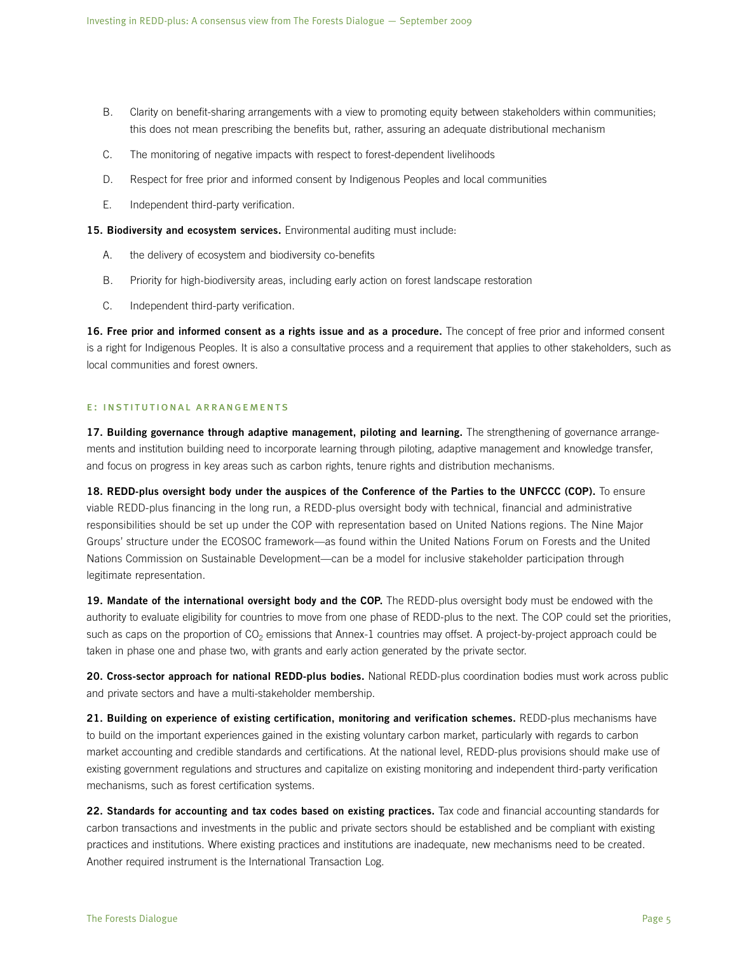- B. Clarity on benefit-sharing arrangements with a view to promoting equity between stakeholders within communities; this does not mean prescribing the benefits but, rather, assuring an adequate distributional mechanism
- C. The monitoring of negative impacts with respect to forest-dependent livelihoods
- D. Respect for free prior and informed consent by Indigenous Peoples and local communities
- E. Independent third-party verification.

**15. Biodiversity and ecosystem services.** Environmental auditing must include:

- A. the delivery of ecosystem and biodiversity co-benefits
- B. Priority for high-biodiversity areas, including early action on forest landscape restoration
- C. Independent third-party verification.

**16. Free prior and informed consent as a rights issue and as a procedure.** The concept of free prior and informed consent is a right for Indigenous Peoples. It is also a consultative process and a requirement that applies to other stakeholders, such as local communities and forest owners.

#### e: institutional arrangements

**17. Building governance through adaptive management, piloting and learning.** The strengthening of governance arrangements and institution building need to incorporate learning through piloting, adaptive management and knowledge transfer, and focus on progress in key areas such as carbon rights, tenure rights and distribution mechanisms.

18. REDD-plus oversight body under the auspices of the Conference of the Parties to the UNFCCC (COP). To ensure viable REDD-plus financing in the long run, a REDD-plus oversight body with technical, financial and administrative responsibilities should be set up under the COP with representation based on United Nations regions. The Nine Major Groups' structure under the ECOSOC framework—as found within the United Nations Forum on Forests and the United Nations Commission on Sustainable Development—can be a model for inclusive stakeholder participation through legitimate representation.

**19. Mandate of the international oversight body and the COP.** The REDD-plus oversight body must be endowed with the authority to evaluate eligibility for countries to move from one phase of REDD-plus to the next. The COP could set the priorities, such as caps on the proportion of  $CO<sub>2</sub>$  emissions that Annex-1 countries may offset. A project-by-project approach could be taken in phase one and phase two, with grants and early action generated by the private sector.

**20. Cross-sector approach for national REDD-plus bodies.** National REDD-plus coordination bodies must work across public and private sectors and have a multi-stakeholder membership.

**21. Building on experience of existing certification, monitoring and verification schemes.** REDD-plus mechanisms have to build on the important experiences gained in the existing voluntary carbon market, particularly with regards to carbon market accounting and credible standards and certifications. At the national level, REDD-plus provisions should make use of existing government regulations and structures and capitalize on existing monitoring and independent third-party verification mechanisms, such as forest certification systems.

**22. Standards for accounting and tax codes based on existing practices.** Tax code and financial accounting standards for carbon transactions and investments in the public and private sectors should be established and be compliant with existing practices and institutions. Where existing practices and institutions are inadequate, new mechanisms need to be created. Another required instrument is the International Transaction Log.